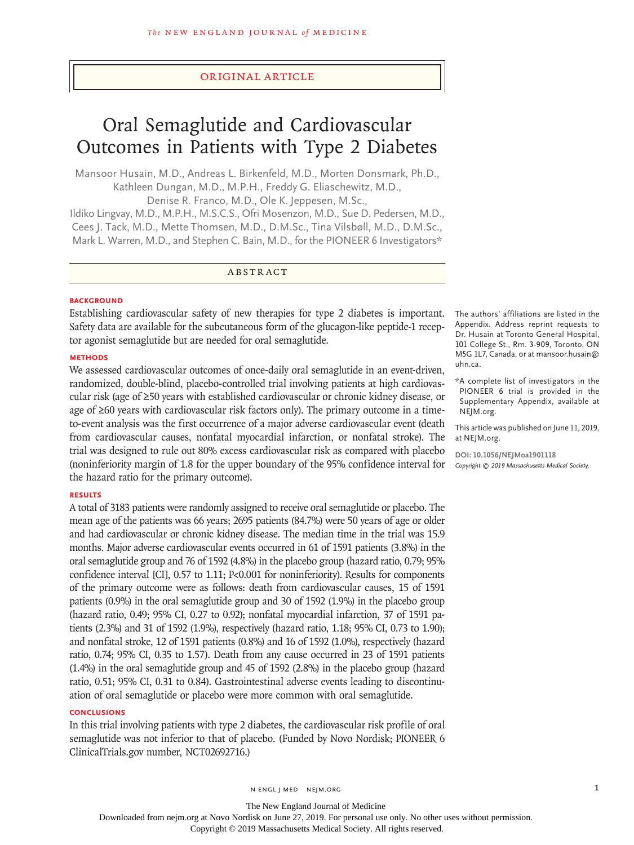# Original Article

# Oral Semaglutide and Cardiovascular Outcomes in Patients with Type 2 Diabetes

Mansoor Husain, M.D., Andreas L. Birkenfeld, M.D., Morten Donsmark, Ph.D., Kathleen Dungan, M.D., M.P.H., Freddy G. Eliaschewitz, M.D., Denise R. Franco, M.D., Ole K. Jeppesen, M.Sc.,

Ildiko Lingvay, M.D., M.P.H., M.S.C.S., Ofri Mosenzon, M.D., Sue D. Pedersen, M.D., Cees J. Tack, M.D., Mette Thomsen, M.D., D.M.Sc., Tina Vilsbøll, M.D., D.M.Sc., Mark L. Warren, M.D., and Stephen C. Bain, M.D., for the PIONEER 6 Investigators\*

# ABSTRACT

### **BACKGROUND**

Establishing cardiovascular safety of new therapies for type 2 diabetes is important. Safety data are available for the subcutaneous form of the glucagon-like peptide-1 receptor agonist semaglutide but are needed for oral semaglutide.

### **METHODS**

We assessed cardiovascular outcomes of once-daily oral semaglutide in an event-driven, randomized, double-blind, placebo-controlled trial involving patients at high cardiovascular risk (age of ≥50 years with established cardiovascular or chronic kidney disease, or age of ≥60 years with cardiovascular risk factors only). The primary outcome in a timeto-event analysis was the first occurrence of a major adverse cardiovascular event (death from cardiovascular causes, nonfatal myocardial infarction, or nonfatal stroke). The trial was designed to rule out 80% excess cardiovascular risk as compared with placebo (noninferiority margin of 1.8 for the upper boundary of the 95% confidence interval for the hazard ratio for the primary outcome).

#### **RESULTS**

A total of 3183 patients were randomly assigned to receive oral semaglutide or placebo. The mean age of the patients was 66 years; 2695 patients (84.7%) were 50 years of age or older and had cardiovascular or chronic kidney disease. The median time in the trial was 15.9 months. Major adverse cardiovascular events occurred in 61 of 1591 patients (3.8%) in the oral semaglutide group and 76 of 1592 (4.8%) in the placebo group (hazard ratio, 0.79; 95% confidence interval [CI], 0.57 to 1.11; P<0.001 for noninferiority). Results for components of the primary outcome were as follows: death from cardiovascular causes, 15 of 1591 patients (0.9%) in the oral semaglutide group and 30 of 1592 (1.9%) in the placebo group (hazard ratio, 0.49; 95% CI, 0.27 to 0.92); nonfatal myocardial infarction, 37 of 1591 patients (2.3%) and 31 of 1592 (1.9%), respectively (hazard ratio, 1.18; 95% CI, 0.73 to 1.90); and nonfatal stroke, 12 of 1591 patients (0.8%) and 16 of 1592 (1.0%), respectively (hazard ratio, 0.74; 95% CI, 0.35 to 1.57). Death from any cause occurred in 23 of 1591 patients (1.4%) in the oral semaglutide group and 45 of 1592 (2.8%) in the placebo group (hazard ratio, 0.51; 95% CI, 0.31 to 0.84). Gastrointestinal adverse events leading to discontinuation of oral semaglutide or placebo were more common with oral semaglutide.

# **CONCLUSIONS**

In this trial involving patients with type 2 diabetes, the cardiovascular risk profile of oral semaglutide was not inferior to that of placebo. (Funded by Novo Nordisk; PIONEER 6 ClinicalTrials.gov number, NCT02692716.)

The authors' affiliations are listed in the Appendix. Address reprint requests to Dr. Husain at Toronto General Hospital, 101 College St., Rm. 3-909, Toronto, ON M5G 1L7, Canada, or at mansoor.husain@ uhn.ca.

\*A complete list of investigators in the PIONEER 6 trial is provided in the Supplementary Appendix, available at NEJM.org.

This article was published on June 11, 2019, at NEJM.org.

**DOI: 10.1056/NEJMoa1901118** *Copyright © 2019 Massachusetts Medical Society.*

The New England Journal of Medicine

Downloaded from nejm.org at Novo Nordisk on June 27, 2019. For personal use only. No other uses without permission.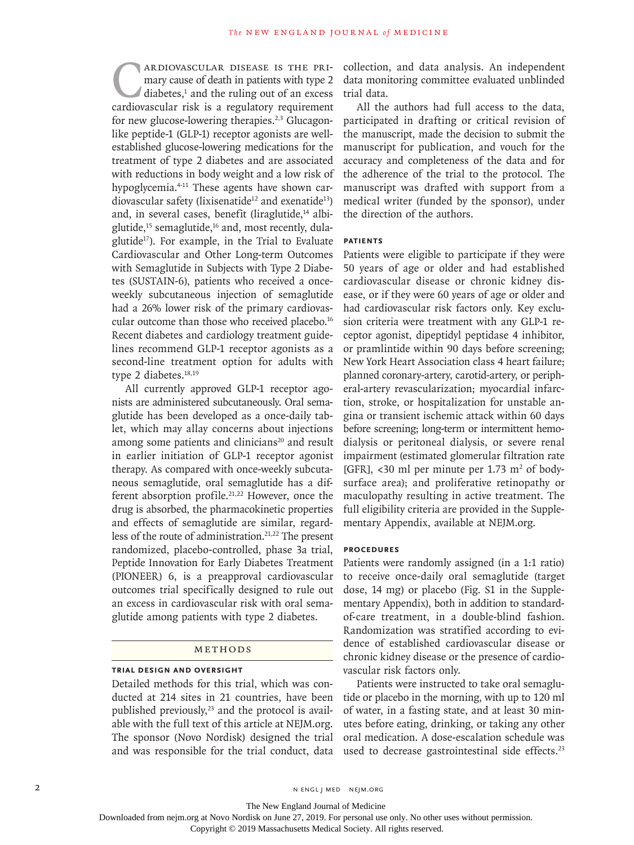**CARDIOVASCULAR DISEASE IS THE PRI-**<br>mary cause of death in patients with type 2<br>diabetes,<sup>1</sup> and the ruling out of an excess<br>cardiovascular risk is a regulatory requirement mary cause of death in patients with type 2  $diabetes$ ,<sup>1</sup> and the ruling out of an excess cardiovascular risk is a regulatory requirement for new glucose-lowering therapies.<sup>2,3</sup> Glucagonlike peptide-1 (GLP-1) receptor agonists are wellestablished glucose-lowering medications for the treatment of type 2 diabetes and are associated with reductions in body weight and a low risk of hypoglycemia.4-11 These agents have shown cardiovascular safety (lixisenatide<sup>12</sup> and exenatide<sup>13</sup>) and, in several cases, benefit (liraglutide,<sup>14</sup> albiglutide, $15$  semaglutide, $16$  and, most recently, dulaglutide $17$ ). For example, in the Trial to Evaluate Cardiovascular and Other Long-term Outcomes with Semaglutide in Subjects with Type 2 Diabetes (SUSTAIN-6), patients who received a onceweekly subcutaneous injection of semaglutide had a 26% lower risk of the primary cardiovascular outcome than those who received placebo.<sup>16</sup> Recent diabetes and cardiology treatment guidelines recommend GLP-1 receptor agonists as a second-line treatment option for adults with type 2 diabetes.<sup>18,19</sup>

All currently approved GLP-1 receptor agonists are administered subcutaneously. Oral semaglutide has been developed as a once-daily tablet, which may allay concerns about injections among some patients and clinicians<sup>20</sup> and result in earlier initiation of GLP-1 receptor agonist therapy. As compared with once-weekly subcutaneous semaglutide, oral semaglutide has a different absorption profile.<sup>21,22</sup> However, once the drug is absorbed, the pharmacokinetic properties and effects of semaglutide are similar, regardless of the route of administration.<sup>21,22</sup> The present randomized, placebo-controlled, phase 3a trial, Peptide Innovation for Early Diabetes Treatment (PIONEER) 6, is a preapproval cardiovascular outcomes trial specifically designed to rule out an excess in cardiovascular risk with oral semaglutide among patients with type 2 diabetes.

# Methods

# **Trial Design and Oversight**

Detailed methods for this trial, which was conducted at 214 sites in 21 countries, have been published previously, $23$  and the protocol is available with the full text of this article at NEJM.org. The sponsor (Novo Nordisk) designed the trial and was responsible for the trial conduct, data collection, and data analysis. An independent data monitoring committee evaluated unblinded trial data.

All the authors had full access to the data, participated in drafting or critical revision of the manuscript, made the decision to submit the manuscript for publication, and vouch for the accuracy and completeness of the data and for the adherence of the trial to the protocol. The manuscript was drafted with support from a medical writer (funded by the sponsor), under the direction of the authors.

# **Patients**

Patients were eligible to participate if they were 50 years of age or older and had established cardiovascular disease or chronic kidney disease, or if they were 60 years of age or older and had cardiovascular risk factors only. Key exclusion criteria were treatment with any GLP-1 receptor agonist, dipeptidyl peptidase 4 inhibitor, or pramlintide within 90 days before screening; New York Heart Association class 4 heart failure; planned coronary-artery, carotid-artery, or peripheral-artery revascularization; myocardial infarction, stroke, or hospitalization for unstable angina or transient ischemic attack within 60 days before screening; long-term or intermittent hemodialysis or peritoneal dialysis, or severe renal impairment (estimated glomerular filtration rate [GFR], <30 ml per minute per 1.73  $m<sup>2</sup>$  of bodysurface area); and proliferative retinopathy or maculopathy resulting in active treatment. The full eligibility criteria are provided in the Supplementary Appendix, available at NEJM.org.

### **Procedures**

Patients were randomly assigned (in a 1:1 ratio) to receive once-daily oral semaglutide (target dose, 14 mg) or placebo (Fig. S1 in the Supplementary Appendix), both in addition to standardof-care treatment, in a double-blind fashion. Randomization was stratified according to evidence of established cardiovascular disease or chronic kidney disease or the presence of cardiovascular risk factors only.

Patients were instructed to take oral semaglutide or placebo in the morning, with up to 120 ml of water, in a fasting state, and at least 30 minutes before eating, drinking, or taking any other oral medication. A dose-escalation schedule was used to decrease gastrointestinal side effects.<sup>23</sup>

Downloaded from nejm.org at Novo Nordisk on June 27, 2019. For personal use only. No other uses without permission.

Copyright © 2019 Massachusetts Medical Society. All rights reserved.

The New England Journal of Medicine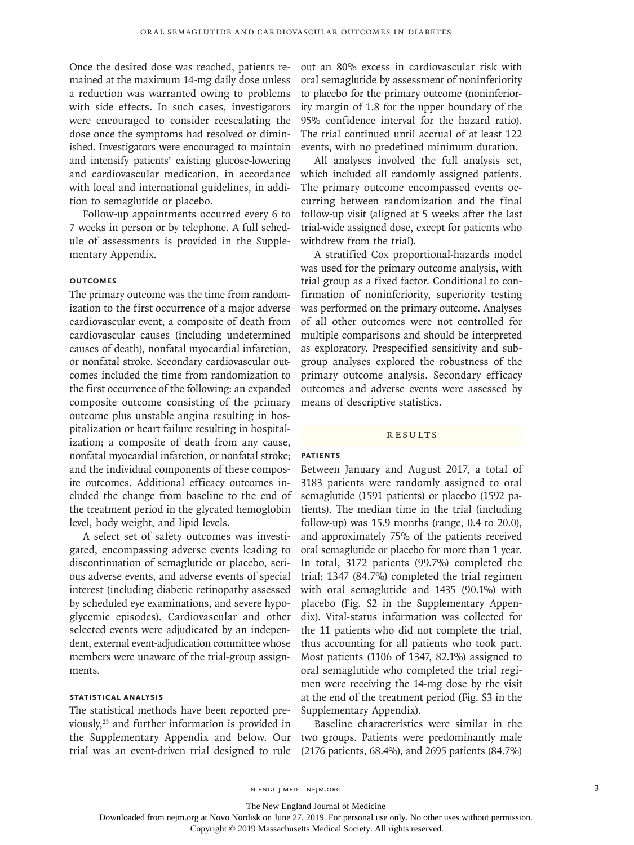Once the desired dose was reached, patients remained at the maximum 14-mg daily dose unless a reduction was warranted owing to problems with side effects. In such cases, investigators were encouraged to consider reescalating the dose once the symptoms had resolved or diminished. Investigators were encouraged to maintain and intensify patients' existing glucose-lowering and cardiovascular medication, in accordance with local and international guidelines, in addition to semaglutide or placebo.

Follow-up appointments occurred every 6 to 7 weeks in person or by telephone. A full schedule of assessments is provided in the Supplementary Appendix.

# **Outcomes**

The primary outcome was the time from randomization to the first occurrence of a major adverse cardiovascular event, a composite of death from cardiovascular causes (including undetermined causes of death), nonfatal myocardial infarction, or nonfatal stroke. Secondary cardiovascular outcomes included the time from randomization to the first occurrence of the following: an expanded composite outcome consisting of the primary outcome plus unstable angina resulting in hospitalization or heart failure resulting in hospitalization; a composite of death from any cause, nonfatal myocardial infarction, or nonfatal stroke; and the individual components of these composite outcomes. Additional efficacy outcomes included the change from baseline to the end of the treatment period in the glycated hemoglobin level, body weight, and lipid levels.

A select set of safety outcomes was investigated, encompassing adverse events leading to discontinuation of semaglutide or placebo, serious adverse events, and adverse events of special interest (including diabetic retinopathy assessed by scheduled eye examinations, and severe hypoglycemic episodes). Cardiovascular and other selected events were adjudicated by an independent, external event-adjudication committee whose members were unaware of the trial-group assignments.

# **Statistical Analysis**

The statistical methods have been reported previously,23 and further information is provided in the Supplementary Appendix and below. Our trial was an event-driven trial designed to rule out an 80% excess in cardiovascular risk with oral semaglutide by assessment of noninferiority to placebo for the primary outcome (noninferiority margin of 1.8 for the upper boundary of the 95% confidence interval for the hazard ratio). The trial continued until accrual of at least 122 events, with no predefined minimum duration.

All analyses involved the full analysis set, which included all randomly assigned patients. The primary outcome encompassed events occurring between randomization and the final follow-up visit (aligned at 5 weeks after the last trial-wide assigned dose, except for patients who withdrew from the trial).

A stratified Cox proportional-hazards model was used for the primary outcome analysis, with trial group as a fixed factor. Conditional to confirmation of noninferiority, superiority testing was performed on the primary outcome. Analyses of all other outcomes were not controlled for multiple comparisons and should be interpreted as exploratory. Prespecified sensitivity and subgroup analyses explored the robustness of the primary outcome analysis. Secondary efficacy outcomes and adverse events were assessed by means of descriptive statistics.

### **RESULTS**

# **Patients**

Between January and August 2017, a total of 3183 patients were randomly assigned to oral semaglutide (1591 patients) or placebo (1592 patients). The median time in the trial (including follow-up) was 15.9 months (range, 0.4 to 20.0), and approximately 75% of the patients received oral semaglutide or placebo for more than 1 year. In total, 3172 patients (99.7%) completed the trial; 1347 (84.7%) completed the trial regimen with oral semaglutide and 1435 (90.1%) with placebo (Fig. S2 in the Supplementary Appendix). Vital-status information was collected for the 11 patients who did not complete the trial, thus accounting for all patients who took part. Most patients (1106 of 1347, 82.1%) assigned to oral semaglutide who completed the trial regimen were receiving the 14-mg dose by the visit at the end of the treatment period (Fig. S3 in the Supplementary Appendix).

Baseline characteristics were similar in the two groups. Patients were predominantly male (2176 patients, 68.4%), and 2695 patients (84.7%)

n engl j med nejm.org 3

The New England Journal of Medicine

Downloaded from nejm.org at Novo Nordisk on June 27, 2019. For personal use only. No other uses without permission.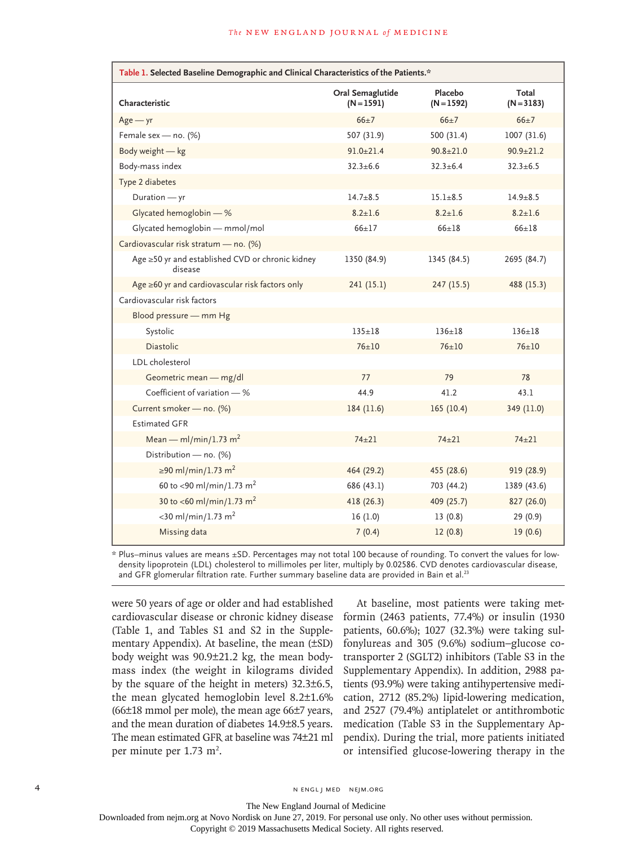| Table 1. Selected Baseline Demographic and Clinical Characteristics of the Patients.* |                                  |                         |                       |  |  |  |  |
|---------------------------------------------------------------------------------------|----------------------------------|-------------------------|-----------------------|--|--|--|--|
| Characteristic                                                                        | Oral Semaglutide<br>$(N = 1591)$ | Placebo<br>$(N = 1592)$ | Total<br>$(N = 3183)$ |  |  |  |  |
| $Age - yr$                                                                            | $66+7$                           | $66+7$                  | $66+7$                |  |  |  |  |
| Female sex - no. (%)                                                                  | 507 (31.9)                       | 500 (31.4)              | 1007 (31.6)           |  |  |  |  |
| Body weight - kg                                                                      | $91.0 + 21.4$                    | $90.8 + 21.0$           | $90.9 \pm 21.2$       |  |  |  |  |
| Body-mass index                                                                       | $32.3 + 6.6$                     | $32.3 \pm 6.4$          | $32.3 + 6.5$          |  |  |  |  |
| Type 2 diabetes                                                                       |                                  |                         |                       |  |  |  |  |
| Duration - yr                                                                         | $14.7 + 8.5$                     | $15.1 + 8.5$            | $14.9 + 8.5$          |  |  |  |  |
| Glycated hemoglobin - %                                                               | $8.2 \pm 1.6$                    | $8.2 \pm 1.6$           | $8.2 \pm 1.6$         |  |  |  |  |
| Glycated hemoglobin - mmol/mol                                                        | $66 + 17$                        | $66 \pm 18$             | $66 + 18$             |  |  |  |  |
| Cardiovascular risk stratum - no. (%)                                                 |                                  |                         |                       |  |  |  |  |
| Age ≥50 yr and established CVD or chronic kidney<br>disease                           | 1350 (84.9)                      | 1345 (84.5)             | 2695 (84.7)           |  |  |  |  |
| Age $\geq 60$ yr and cardiovascular risk factors only                                 | 241 (15.1)                       | 247 (15.5)              | 488 (15.3)            |  |  |  |  |
| Cardiovascular risk factors                                                           |                                  |                         |                       |  |  |  |  |
| Blood pressure - mm Hg                                                                |                                  |                         |                       |  |  |  |  |
| Systolic                                                                              | $135 \pm 18$                     | $136 + 18$              | $136 + 18$            |  |  |  |  |
| <b>Diastolic</b>                                                                      | $76 + 10$                        | $76 + 10$               | $76 + 10$             |  |  |  |  |
| LDL cholesterol                                                                       |                                  |                         |                       |  |  |  |  |
| Geometric mean - mg/dl                                                                | 77                               | 79                      | 78                    |  |  |  |  |
| Coefficient of variation - %                                                          | 44.9                             | 41.2                    | 43.1                  |  |  |  |  |
| Current smoker - no. (%)                                                              | 184(11.6)                        | 165(10.4)               | 349 (11.0)            |  |  |  |  |
| <b>Estimated GFR</b>                                                                  |                                  |                         |                       |  |  |  |  |
| Mean — ml/min/1.73 m <sup>2</sup>                                                     | $74 + 21$                        | $74 + 21$               | $74 + 21$             |  |  |  |  |
| Distribution - no. (%)                                                                |                                  |                         |                       |  |  |  |  |
| ≥90 ml/min/1.73 m <sup>2</sup>                                                        | 464 (29.2)                       | 455 (28.6)              | 919 (28.9)            |  |  |  |  |
| 60 to <90 ml/min/1.73 m <sup>2</sup>                                                  | 686 (43.1)                       | 703 (44.2)              | 1389 (43.6)           |  |  |  |  |
| 30 to <60 ml/min/1.73 m <sup>2</sup>                                                  | 418 (26.3)                       | 409 (25.7)              | 827 (26.0)            |  |  |  |  |
| $<$ 30 ml/min/1.73 m <sup>2</sup>                                                     | 16(1.0)                          | 13(0.8)                 | 29 (0.9)              |  |  |  |  |
| Missing data                                                                          | 7(0.4)                           | 12(0.8)                 | 19(0.6)               |  |  |  |  |

\* Plus–minus values are means ±SD. Percentages may not total 100 because of rounding. To convert the values for lowdensity lipoprotein (LDL) cholesterol to millimoles per liter, multiply by 0.02586. CVD denotes cardiovascular disease, and GFR glomerular filtration rate. Further summary baseline data are provided in Bain et al.<sup>23</sup>

were 50 years of age or older and had established cardiovascular disease or chronic kidney disease (Table 1, and Tables S1 and S2 in the Supplementary Appendix). At baseline, the mean (±SD) body weight was 90.9±21.2 kg, the mean bodymass index (the weight in kilograms divided by the square of the height in meters) 32.3±6.5, the mean glycated hemoglobin level 8.2±1.6% (66±18 mmol per mole), the mean age 66±7 years, and the mean duration of diabetes 14.9±8.5 years. The mean estimated GFR at baseline was 74±21 ml per minute per  $1.73 \text{ m}^2$ .

At baseline, most patients were taking metformin (2463 patients, 77.4%) or insulin (1930 patients, 60.6%); 1027 (32.3%) were taking sulfonylureas and 305 (9.6%) sodium–glucose cotransporter 2 (SGLT2) inhibitors (Table S3 in the Supplementary Appendix). In addition, 2988 patients (93.9%) were taking antihypertensive medication, 2712 (85.2%) lipid-lowering medication, and 2527 (79.4%) antiplatelet or antithrombotic medication (Table S3 in the Supplementary Appendix). During the trial, more patients initiated or intensified glucose-lowering therapy in the

4 n engl j med nejm.org nejm.org neighborhood in the negative media in the negative media in the negative media in the negative media in the negative media in the negative media in the negative media in the negative media

Downloaded from nejm.org at Novo Nordisk on June 27, 2019. For personal use only. No other uses without permission.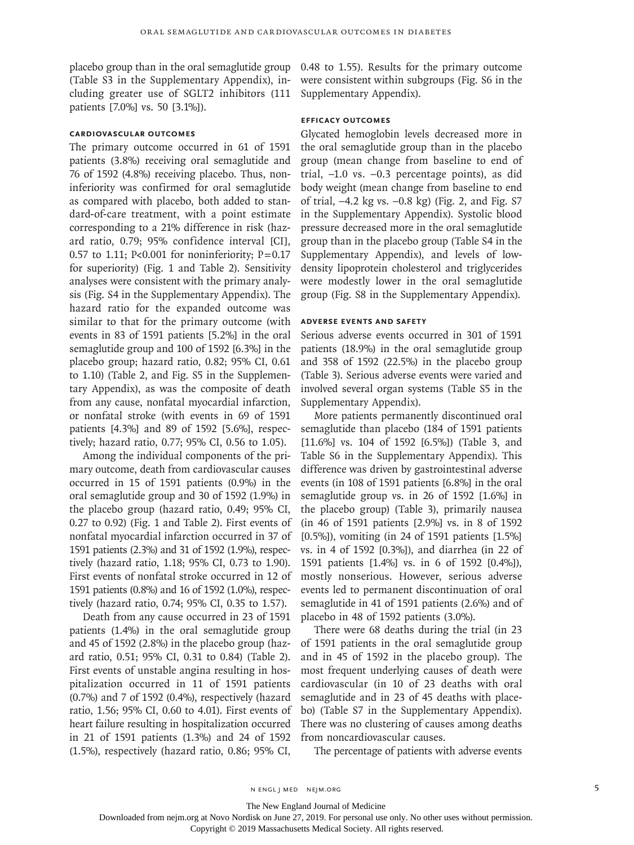placebo group than in the oral semaglutide group (Table S3 in the Supplementary Appendix), including greater use of SGLT2 inhibitors (111 patients [7.0%] vs. 50 [3.1%]).

# **Cardiovascular Outcomes**

The primary outcome occurred in 61 of 1591 patients (3.8%) receiving oral semaglutide and 76 of 1592 (4.8%) receiving placebo. Thus, noninferiority was confirmed for oral semaglutide as compared with placebo, both added to standard-of-care treatment, with a point estimate corresponding to a 21% difference in risk (hazard ratio, 0.79; 95% confidence interval [CI], 0.57 to 1.11; P<0.001 for noninferiority;  $P=0.17$ for superiority) (Fig. 1 and Table 2). Sensitivity analyses were consistent with the primary analysis (Fig. S4 in the Supplementary Appendix). The hazard ratio for the expanded outcome was similar to that for the primary outcome (with events in 83 of 1591 patients [5.2%] in the oral semaglutide group and 100 of 1592 [6.3%] in the placebo group; hazard ratio, 0.82; 95% CI, 0.61 to 1.10) (Table 2, and Fig. S5 in the Supplementary Appendix), as was the composite of death from any cause, nonfatal myocardial infarction, or nonfatal stroke (with events in 69 of 1591 patients [4.3%] and 89 of 1592 [5.6%], respectively; hazard ratio, 0.77; 95% CI, 0.56 to 1.05).

Among the individual components of the primary outcome, death from cardiovascular causes occurred in 15 of 1591 patients (0.9%) in the oral semaglutide group and 30 of 1592 (1.9%) in the placebo group (hazard ratio, 0.49; 95% CI, 0.27 to 0.92) (Fig. 1 and Table 2). First events of nonfatal myocardial infarction occurred in 37 of 1591 patients (2.3%) and 31 of 1592 (1.9%), respectively (hazard ratio, 1.18; 95% CI, 0.73 to 1.90). First events of nonfatal stroke occurred in 12 of 1591 patients (0.8%) and 16 of 1592 (1.0%), respectively (hazard ratio, 0.74; 95% CI, 0.35 to 1.57).

Death from any cause occurred in 23 of 1591 patients (1.4%) in the oral semaglutide group and 45 of 1592 (2.8%) in the placebo group (hazard ratio, 0.51; 95% CI, 0.31 to 0.84) (Table 2). First events of unstable angina resulting in hospitalization occurred in 11 of 1591 patients (0.7%) and 7 of 1592 (0.4%), respectively (hazard ratio, 1.56; 95% CI, 0.60 to 4.01). First events of heart failure resulting in hospitalization occurred in 21 of 1591 patients (1.3%) and 24 of 1592 (1.5%), respectively (hazard ratio, 0.86; 95% CI,

0.48 to 1.55). Results for the primary outcome were consistent within subgroups (Fig. S6 in the Supplementary Appendix).

# **Efficacy Outcomes**

Glycated hemoglobin levels decreased more in the oral semaglutide group than in the placebo group (mean change from baseline to end of trial, –1.0 vs. –0.3 percentage points), as did body weight (mean change from baseline to end of trial, –4.2 kg vs. –0.8 kg) (Fig. 2, and Fig. S7 in the Supplementary Appendix). Systolic blood pressure decreased more in the oral semaglutide group than in the placebo group (Table S4 in the Supplementary Appendix), and levels of lowdensity lipoprotein cholesterol and triglycerides were modestly lower in the oral semaglutide group (Fig. S8 in the Supplementary Appendix).

### **Adverse Events and Safety**

Serious adverse events occurred in 301 of 1591 patients (18.9%) in the oral semaglutide group and 358 of 1592 (22.5%) in the placebo group (Table 3). Serious adverse events were varied and involved several organ systems (Table S5 in the Supplementary Appendix).

More patients permanently discontinued oral semaglutide than placebo (184 of 1591 patients [11.6%] vs. 104 of 1592 [6.5%]) (Table 3, and Table S6 in the Supplementary Appendix). This difference was driven by gastrointestinal adverse events (in 108 of 1591 patients [6.8%] in the oral semaglutide group vs. in 26 of 1592 [1.6%] in the placebo group) (Table 3), primarily nausea (in 46 of 1591 patients [2.9%] vs. in 8 of 1592 [0.5%]), vomiting (in 24 of 1591 patients [1.5%] vs. in 4 of 1592 [0.3%]), and diarrhea (in 22 of 1591 patients [1.4%] vs. in 6 of 1592 [0.4%]), mostly nonserious. However, serious adverse events led to permanent discontinuation of oral semaglutide in 41 of 1591 patients (2.6%) and of placebo in 48 of 1592 patients (3.0%).

There were 68 deaths during the trial (in 23 of 1591 patients in the oral semaglutide group and in 45 of 1592 in the placebo group). The most frequent underlying causes of death were cardiovascular (in 10 of 23 deaths with oral semaglutide and in 23 of 45 deaths with placebo) (Table S7 in the Supplementary Appendix). There was no clustering of causes among deaths from noncardiovascular causes.

The percentage of patients with adverse events

The New England Journal of Medicine

Downloaded from nejm.org at Novo Nordisk on June 27, 2019. For personal use only. No other uses without permission.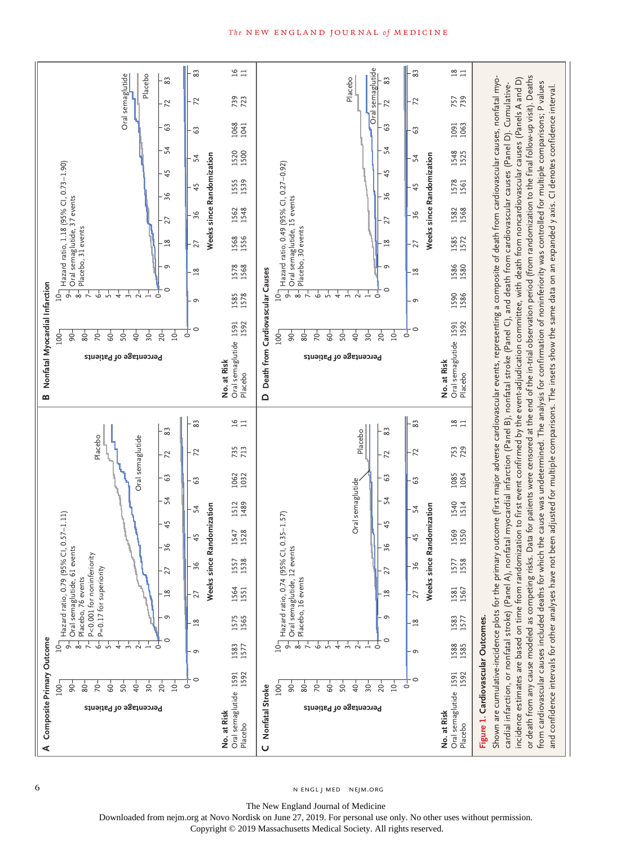

6 N ENGL J MED NEJM.ORG

The New England Journal of Medicine

Downloaded from nejm.org at Novo Nordisk on June 27, 2019. For personal use only. No other uses without permission.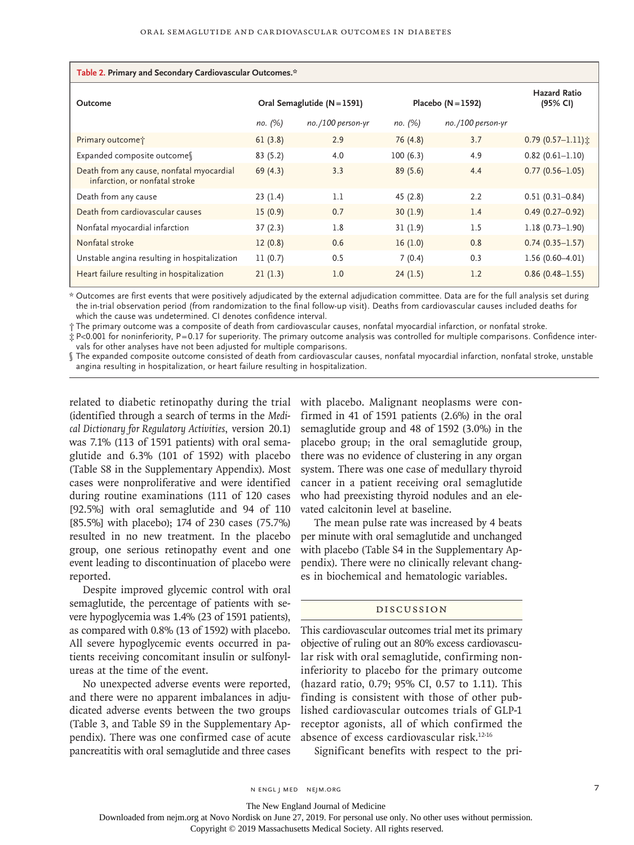| Table 2. Primary and Secondary Cardiovascular Outcomes.*                    |                               |                      |                      |                      |                                 |  |  |
|-----------------------------------------------------------------------------|-------------------------------|----------------------|----------------------|----------------------|---------------------------------|--|--|
| Outcome                                                                     | Oral Semaglutide $(N = 1591)$ |                      | Placebo $(N = 1592)$ |                      | <b>Hazard Ratio</b><br>(95% CI) |  |  |
|                                                                             | по. (%)                       | $no.$ /100 person-yr | по. (%)              | $no.$ /100 person-yr |                                 |  |  |
| Primary outcome <sup>+</sup>                                                | 61(3.8)                       | 2.9                  | 76 (4.8)             | 3.7                  | $0.79(0.57 - 1.11)$             |  |  |
| Expanded composite outcomess                                                | 83(5.2)                       | 4.0                  | 100(6.3)             | 4.9                  | $0.82$ (0.61-1.10)              |  |  |
| Death from any cause, nonfatal myocardial<br>infarction, or nonfatal stroke | 69(4.3)                       | 3.3                  | 89(5.6)              | 4.4                  | $0.77(0.56 - 1.05)$             |  |  |
| Death from any cause                                                        | 23(1.4)                       | 1.1                  | 45(2.8)              | 2.2                  | $0.51(0.31 - 0.84)$             |  |  |
| Death from cardiovascular causes                                            | 15(0.9)                       | 0.7                  | 30(1.9)              | 1.4                  | $0.49(0.27 - 0.92)$             |  |  |
| Nonfatal myocardial infarction                                              | 37(2.3)                       | 1.8                  | 31(1.9)              | 1.5                  | $1.18(0.73 - 1.90)$             |  |  |
| Nonfatal stroke                                                             | 12(0.8)                       | 0.6                  | 16(1.0)              | 0.8                  | $0.74(0.35 - 1.57)$             |  |  |
| Unstable angina resulting in hospitalization                                | 11(0.7)                       | 0.5                  | 7(0.4)               | 0.3                  | $1.56(0.60-4.01)$               |  |  |
| Heart failure resulting in hospitalization                                  | 21(1.3)                       | 1.0                  | 24(1.5)              | 1.2                  | $0.86(0.48 - 1.55)$             |  |  |

\* Outcomes are first events that were positively adjudicated by the external adjudication committee. Data are for the full analysis set during the in-trial observation period (from randomization to the final follow-up visit). Deaths from cardiovascular causes included deaths for which the cause was undetermined. CI denotes confidence interval.

† The primary outcome was a composite of death from cardiovascular causes, nonfatal myocardial infarction, or nonfatal stroke.

‡ P<0.001 for noninferiority, P=0.17 for superiority. The primary outcome analysis was controlled for multiple comparisons. Confidence intervals for other analyses have not been adjusted for multiple comparisons.

§ The expanded composite outcome consisted of death from cardiovascular causes, nonfatal myocardial infarction, nonfatal stroke, unstable angina resulting in hospitalization, or heart failure resulting in hospitalization.

related to diabetic retinopathy during the trial (identified through a search of terms in the *Medical Dictionary for Regulatory Activities*, version 20.1) was 7.1% (113 of 1591 patients) with oral semaglutide and 6.3% (101 of 1592) with placebo (Table S8 in the Supplementary Appendix). Most cases were nonproliferative and were identified during routine examinations (111 of 120 cases [92.5%] with oral semaglutide and 94 of 110 [85.5%] with placebo); 174 of 230 cases (75.7%) resulted in no new treatment. In the placebo group, one serious retinopathy event and one event leading to discontinuation of placebo were reported.

Despite improved glycemic control with oral semaglutide, the percentage of patients with severe hypoglycemia was 1.4% (23 of 1591 patients), as compared with 0.8% (13 of 1592) with placebo. All severe hypoglycemic events occurred in patients receiving concomitant insulin or sulfonylureas at the time of the event.

No unexpected adverse events were reported, and there were no apparent imbalances in adjudicated adverse events between the two groups (Table 3, and Table S9 in the Supplementary Appendix). There was one confirmed case of acute pancreatitis with oral semaglutide and three cases with placebo. Malignant neoplasms were confirmed in 41 of 1591 patients (2.6%) in the oral semaglutide group and 48 of 1592 (3.0%) in the placebo group; in the oral semaglutide group, there was no evidence of clustering in any organ system. There was one case of medullary thyroid cancer in a patient receiving oral semaglutide who had preexisting thyroid nodules and an elevated calcitonin level at baseline.

The mean pulse rate was increased by 4 beats per minute with oral semaglutide and unchanged with placebo (Table S4 in the Supplementary Appendix). There were no clinically relevant changes in biochemical and hematologic variables.

# Discussion

This cardiovascular outcomes trial met its primary objective of ruling out an 80% excess cardiovascular risk with oral semaglutide, confirming noninferiority to placebo for the primary outcome (hazard ratio, 0.79; 95% CI, 0.57 to 1.11). This finding is consistent with those of other published cardiovascular outcomes trials of GLP-1 receptor agonists, all of which confirmed the absence of excess cardiovascular risk.12-16

Significant benefits with respect to the pri-

The New England Journal of Medicine

Downloaded from nejm.org at Novo Nordisk on June 27, 2019. For personal use only. No other uses without permission.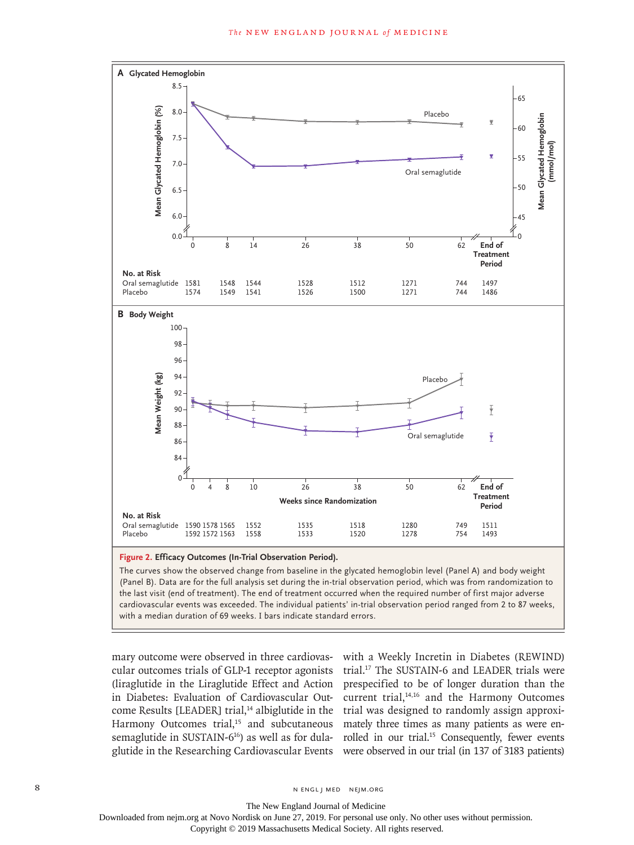

#### **Figure 2. Efficacy Outcomes (In-Trial Observation Period).**

The curves show the observed change from baseline in the glycated hemoglobin level (Panel A) and body weight (Panel B). Data are for the full analysis set during the in-trial observation period, which was from randomization to the last visit (end of treatment). The end of treatment occurred when the required number of first major adverse cardiovascular events was exceeded. The individual patients' in-trial observation period ranged from 2 to 87 weeks,

mary outcome were observed in three cardiovascular outcomes trials of GLP-1 receptor agonists (liraglutide in the Liraglutide Effect and Action in Diabetes: Evaluation of Cardiovascular Outcome Results [LEADER] trial,<sup>14</sup> albiglutide in the Harmony Outcomes trial,<sup>15</sup> and subcutaneous semaglutide in SUSTAIN-6<sup>16</sup>) as well as for dula-

glutide in the Researching Cardiovascular Events were observed in our trial (in 137 of 3183 patients) with a Weekly Incretin in Diabetes (REWIND) trial.17 The SUSTAIN-6 and LEADER trials were prespecified to be of longer duration than the current trial,<sup>14,16</sup> and the Harmony Outcomes trial was designed to randomly assign approximately three times as many patients as were enrolled in our trial.<sup>15</sup> Consequently, fewer events

8 N ENGL J MED NEJM.ORG

The New England Journal of Medicine Downloaded from nejm.org at Novo Nordisk on June 27, 2019. For personal use only. No other uses without permission.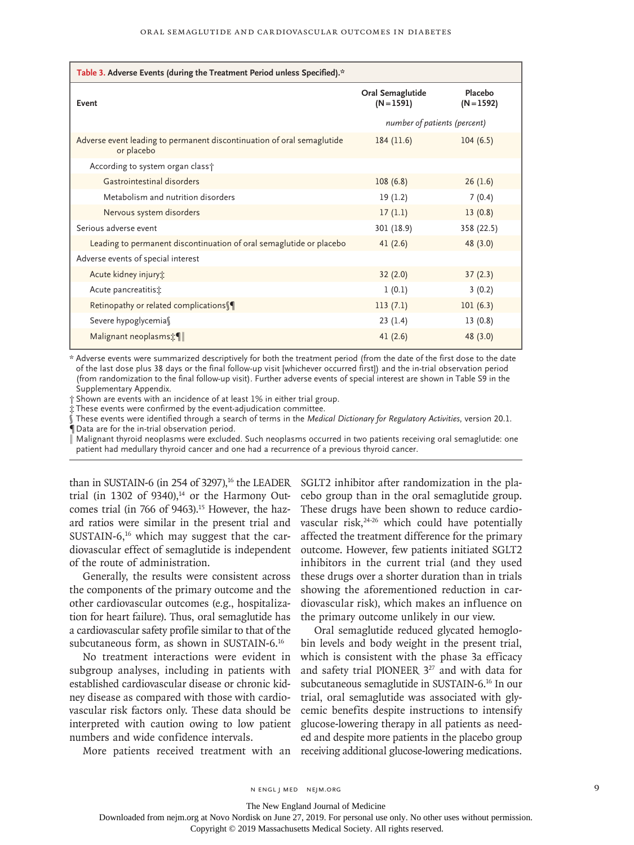| Table 3. Adverse Events (during the Treatment Period unless Specified).*             |                                  |                         |  |  |  |
|--------------------------------------------------------------------------------------|----------------------------------|-------------------------|--|--|--|
| Event                                                                                | Oral Semaglutide<br>$(N = 1591)$ | Placebo<br>$(N = 1592)$ |  |  |  |
|                                                                                      | number of patients (percent)     |                         |  |  |  |
| Adverse event leading to permanent discontinuation of oral semaglutide<br>or placebo | 184(11.6)                        | 104(6.5)                |  |  |  |
| According to system organ class +                                                    |                                  |                         |  |  |  |
| Gastrointestinal disorders                                                           | 108(6.8)                         | 26(1.6)                 |  |  |  |
| Metabolism and nutrition disorders                                                   | 19(1.2)                          | 7(0.4)                  |  |  |  |
| Nervous system disorders                                                             | 17(1.1)                          | 13(0.8)                 |  |  |  |
| Serious adverse event                                                                | 301 (18.9)                       | 358 (22.5)              |  |  |  |
| Leading to permanent discontinuation of oral semaglutide or placebo                  | 41(2.6)                          | 48 (3.0)                |  |  |  |
| Adverse events of special interest                                                   |                                  |                         |  |  |  |
| Acute kidney injury:                                                                 | 32(2.0)                          | 37(2.3)                 |  |  |  |
| Acute pancreatitis:                                                                  | 1(0.1)                           | 3(0.2)                  |  |  |  |
| Retinopathy or related complications                                                 | 113(7.1)                         | 101(6.3)                |  |  |  |
| Severe hypoglycemia                                                                  | 23(1.4)                          | 13(0.8)                 |  |  |  |
| Malignant neoplasms:                                                                 | 41(2.6)                          | 48 (3.0)                |  |  |  |

\* Adverse events were summarized descriptively for both the treatment period (from the date of the first dose to the date of the last dose plus 38 days or the final follow-up visit [whichever occurred first]) and the in-trial observation period (from randomization to the final follow-up visit). Further adverse events of special interest are shown in Table S9 in the Supplementary Appendix.

† Shown are events with an incidence of at least 1% in either trial group.

‡ These events were confirmed by the event-adjudication committee.

§ These events were identified through a search of terms in the *Medical Dictionary for Regulatory Activities*, version 20.1. ¶ Data are for the in-trial observation period.

‖ Malignant thyroid neoplasms were excluded. Such neoplasms occurred in two patients receiving oral semaglutide: one patient had medullary thyroid cancer and one had a recurrence of a previous thyroid cancer.

trial (in 1302 of  $9340$ ),<sup>14</sup> or the Harmony Outcomes trial (in 766 of 9463).<sup>15</sup> However, the hazard ratios were similar in the present trial and SUSTAIN- $6<sub>16</sub>$  which may suggest that the cardiovascular effect of semaglutide is independent of the route of administration.

Generally, the results were consistent across the components of the primary outcome and the other cardiovascular outcomes (e.g., hospitalization for heart failure). Thus, oral semaglutide has a cardiovascular safety profile similar to that of the subcutaneous form, as shown in SUSTAIN-6.16

No treatment interactions were evident in subgroup analyses, including in patients with established cardiovascular disease or chronic kidney disease as compared with those with cardiovascular risk factors only. These data should be interpreted with caution owing to low patient numbers and wide confidence intervals.

than in SUSTAIN-6 (in 254 of 3297),<sup>16</sup> the LEADER SGLT2 inhibitor after randomization in the placebo group than in the oral semaglutide group. These drugs have been shown to reduce cardiovascular risk, $24-26$  which could have potentially affected the treatment difference for the primary outcome. However, few patients initiated SGLT2 inhibitors in the current trial (and they used these drugs over a shorter duration than in trials showing the aforementioned reduction in cardiovascular risk), which makes an influence on the primary outcome unlikely in our view.

More patients received treatment with an receiving additional glucose-lowering medications. Oral semaglutide reduced glycated hemoglobin levels and body weight in the present trial, which is consistent with the phase 3a efficacy and safety trial PIONEER 327 and with data for subcutaneous semaglutide in SUSTAIN-6.16 In our trial, oral semaglutide was associated with glycemic benefits despite instructions to intensify glucose-lowering therapy in all patients as needed and despite more patients in the placebo group

n engl j med nejm.org 9

The New England Journal of Medicine

Downloaded from nejm.org at Novo Nordisk on June 27, 2019. For personal use only. No other uses without permission.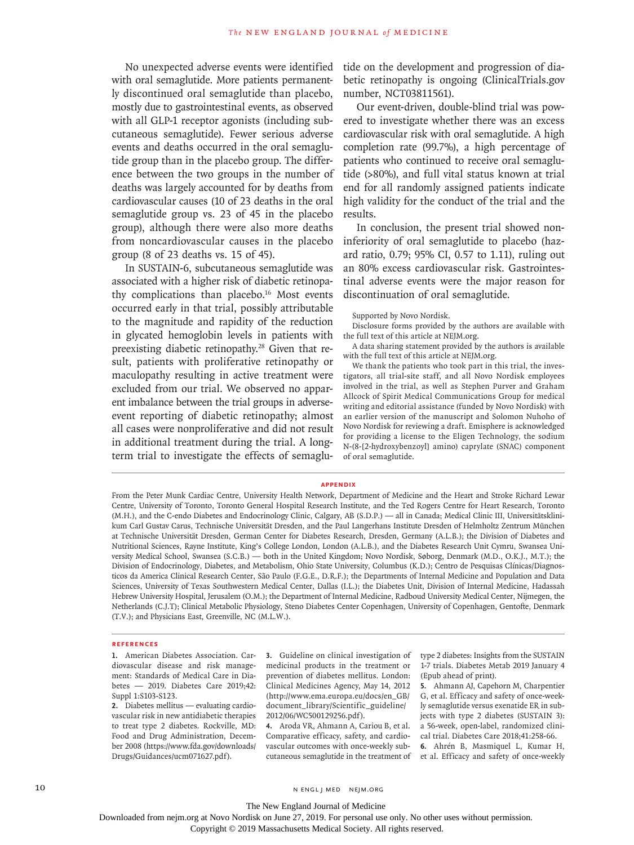No unexpected adverse events were identified with oral semaglutide. More patients permanently discontinued oral semaglutide than placebo, mostly due to gastrointestinal events, as observed with all GLP-1 receptor agonists (including subcutaneous semaglutide). Fewer serious adverse events and deaths occurred in the oral semaglutide group than in the placebo group. The difference between the two groups in the number of deaths was largely accounted for by deaths from cardiovascular causes (10 of 23 deaths in the oral semaglutide group vs. 23 of 45 in the placebo group), although there were also more deaths from noncardiovascular causes in the placebo group (8 of 23 deaths vs. 15 of 45).

In SUSTAIN-6, subcutaneous semaglutide was associated with a higher risk of diabetic retinopathy complications than placebo.16 Most events occurred early in that trial, possibly attributable to the magnitude and rapidity of the reduction in glycated hemoglobin levels in patients with preexisting diabetic retinopathy.<sup>28</sup> Given that result, patients with proliferative retinopathy or maculopathy resulting in active treatment were excluded from our trial. We observed no apparent imbalance between the trial groups in adverseevent reporting of diabetic retinopathy; almost all cases were nonproliferative and did not result in additional treatment during the trial. A longterm trial to investigate the effects of semaglutide on the development and progression of diabetic retinopathy is ongoing (ClinicalTrials.gov number, NCT03811561).

Our event-driven, double-blind trial was powered to investigate whether there was an excess cardiovascular risk with oral semaglutide. A high completion rate (99.7%), a high percentage of patients who continued to receive oral semaglutide (>80%), and full vital status known at trial end for all randomly assigned patients indicate high validity for the conduct of the trial and the results.

In conclusion, the present trial showed noninferiority of oral semaglutide to placebo (hazard ratio, 0.79; 95% CI, 0.57 to 1.11), ruling out an 80% excess cardiovascular risk. Gastrointestinal adverse events were the major reason for discontinuation of oral semaglutide.

#### Supported by Novo Nordisk.

Disclosure forms provided by the authors are available with the full text of this article at NEJM.org.

A data sharing statement provided by the authors is available with the full text of this article at NEJM.org.

We thank the patients who took part in this trial, the investigators, all trial-site staff, and all Novo Nordisk employees involved in the trial, as well as Stephen Purver and Graham Allcock of Spirit Medical Communications Group for medical writing and editorial assistance (funded by Novo Nordisk) with an earlier version of the manuscript and Solomon Nuhoho of Novo Nordisk for reviewing a draft. Emisphere is acknowledged for providing a license to the Eligen Technology, the sodium N-(8-[2-hydroxybenzoyl] amino) caprylate (SNAC) component of oral semaglutide.

### **Appendix**

From the Peter Munk Cardiac Centre, University Health Network, Department of Medicine and the Heart and Stroke Richard Lewar Centre, University of Toronto, Toronto General Hospital Research Institute, and the Ted Rogers Centre for Heart Research, Toronto (M.H.), and the C-endo Diabetes and Endocrinology Clinic, Calgary, AB (S.D.P.) — all in Canada; Medical Clinic III, Universitätsklinikum Carl Gustav Carus, Technische Universität Dresden, and the Paul Langerhans Institute Dresden of Helmholtz Zentrum München at Technische Universität Dresden, German Center for Diabetes Research, Dresden, Germany (A.L.B.); the Division of Diabetes and Nutritional Sciences, Rayne Institute, King's College London, London (A.L.B.), and the Diabetes Research Unit Cymru, Swansea University Medical School, Swansea (S.C.B.) — both in the United Kingdom; Novo Nordisk, Søborg, Denmark (M.D., O.K.J., M.T.); the Division of Endocrinology, Diabetes, and Metabolism, Ohio State University, Columbus (K.D.); Centro de Pesquisas Clínicas/Diagnosticos da America Clinical Research Center, São Paulo (F.G.E., D.R.F.); the Departments of Internal Medicine and Population and Data Sciences, University of Texas Southwestern Medical Center, Dallas (I.L.); the Diabetes Unit, Division of Internal Medicine, Hadassah Hebrew University Hospital, Jerusalem (O.M.); the Department of Internal Medicine, Radboud University Medical Center, Nijmegen, the Netherlands (C.J.T); Clinical Metabolic Physiology, Steno Diabetes Center Copenhagen, University of Copenhagen, Gentofte, Denmark (T.V.); and Physicians East, Greenville, NC (M.L.W.).

#### **References**

**1.** American Diabetes Association. Cardiovascular disease and risk management: Standards of Medical Care in Diabetes — 2019. Diabetes Care 2019;42: Suppl 1:S103-S123.

**2.** Diabetes mellitus — evaluating cardiovascular risk in new antidiabetic therapies to treat type 2 diabetes. Rockville, MD: Food and Drug Administration, December 2008 (https://www.fda.gov/downloads/ Drugs/Guidances/ucm071627.pdf).

**3.** Guideline on clinical investigation of medicinal products in the treatment or prevention of diabetes mellitus. London: Clinical Medicines Agency, May 14, 2012 (http://www.ema.europa.eu/docs/en\_GB/ document\_library/Scientific\_guideline/ 2012/06/WC500129256.pdf).

**4.** Aroda VR, Ahmann A, Cariou B, et al. Comparative efficacy, safety, and cardiovascular outcomes with once-weekly subtype 2 diabetes: Insights from the SUSTAIN 1-7 trials. Diabetes Metab 2019 January 4 (Epub ahead of print).

**5.** Ahmann AJ, Capehorn M, Charpentier G, et al. Efficacy and safety of once-weekly semaglutide versus exenatide ER in subjects with type 2 diabetes (SUSTAIN 3): a 56-week, open-label, randomized clinical trial. Diabetes Care 2018;41:258-66.

cutaneous semaglutide in the treatment of et al. Efficacy and safety of once-weekly **6.** Ahrén B, Masmiquel L, Kumar H,

The New England Journal of Medicine

Downloaded from nejm.org at Novo Nordisk on June 27, 2019. For personal use only. No other uses without permission.